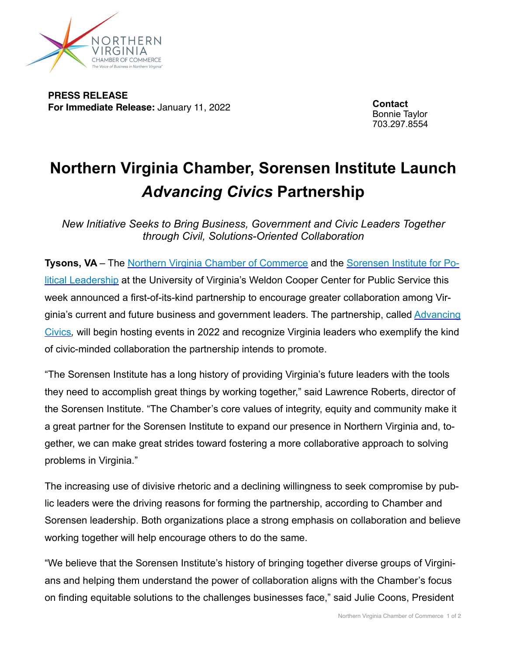

**PRESS RELEASE For Immediate Release:** January 11, 2022

**Contact** Bonnie Taylor 703.297.8554

## **Northern Virginia Chamber, Sorensen Institute Launch**  *Advancing Civics* **Partnership**

*New Initiative Seeks to Bring Business, Government and Civic Leaders Together through Civil, Solutions-Oriented Collaboration*

**Tysons, VA** – The [Northern Virginia Chamber of Commerce](http://www.novachamber.org) and the [Sorensen Institute for Po](http://sorenseninstitute.org)[litical Leadership](http://sorenseninstitute.org) at the University of Virginia's Weldon Cooper Center for Public Service this week announced a first-of-its-kind partnership to encourage greater collaboration among Virginia's current and future business and government leaders. The partnership, called [Advancing](https://novachamber.org/advancing-civics/)  [Civics](https://novachamber.org/advancing-civics/)*,* will begin hosting events in 2022 and recognize Virginia leaders who exemplify the kind of civic-minded collaboration the partnership intends to promote.

"The Sorensen Institute has a long history of providing Virginia's future leaders with the tools they need to accomplish great things by working together," said Lawrence Roberts, director of the Sorensen Institute. "The Chamber's core values of integrity, equity and community make it a great partner for the Sorensen Institute to expand our presence in Northern Virginia and, together, we can make great strides toward fostering a more collaborative approach to solving problems in Virginia."

The increasing use of divisive rhetoric and a declining willingness to seek compromise by public leaders were the driving reasons for forming the partnership, according to Chamber and Sorensen leadership. Both organizations place a strong emphasis on collaboration and believe working together will help encourage others to do the same.

"We believe that the Sorensen Institute's history of bringing together diverse groups of Virginians and helping them understand the power of collaboration aligns with the Chamber's focus on finding equitable solutions to the challenges businesses face," said Julie Coons, President